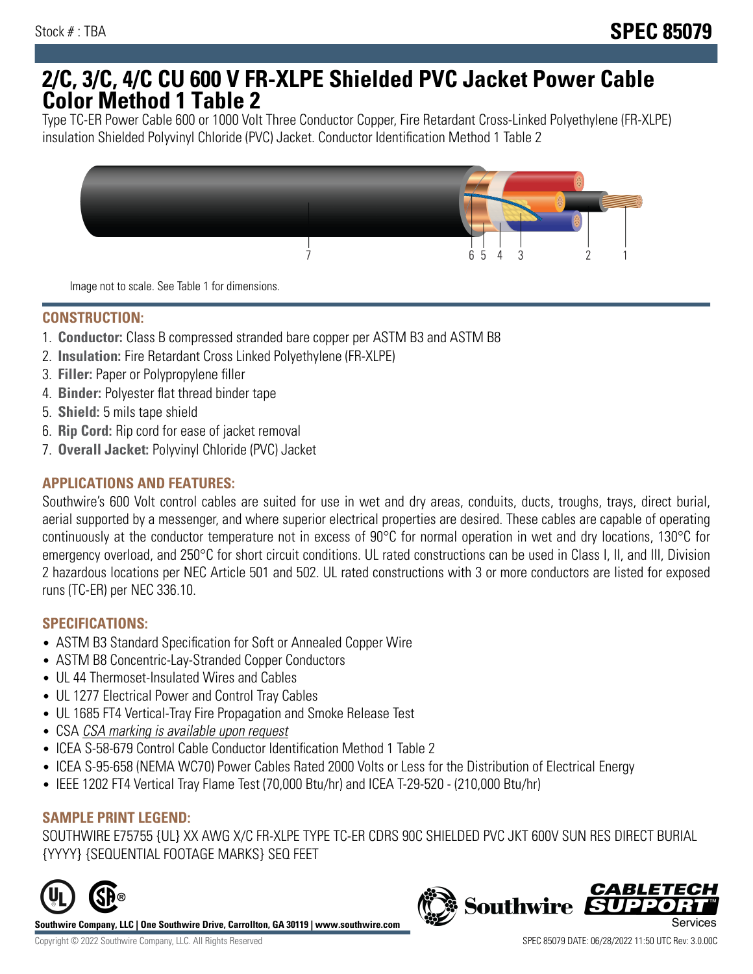# **2/C, 3/C, 4/C CU 600 V FR-XLPE Shielded PVC Jacket Power Cable Color Method 1 Table 2**

Type TC-ER Power Cable 600 or 1000 Volt Three Conductor Copper, Fire Retardant Cross-Linked Polyethylene (FR-XLPE) insulation Shielded Polyvinyl Chloride (PVC) Jacket. Conductor Identification Method 1 Table 2



Image not to scale. See Table 1 for dimensions.

## **CONSTRUCTION:**

- 1. **Conductor:** Class B compressed stranded bare copper per ASTM B3 and ASTM B8
- 2. **Insulation:** Fire Retardant Cross Linked Polyethylene (FR-XLPE)
- 3. **Filler:** Paper or Polypropylene filler
- 4. **Binder:** Polyester flat thread binder tape
- 5. **Shield:** 5 mils tape shield
- 6. **Rip Cord:** Rip cord for ease of jacket removal
- 7. **Overall Jacket:** Polyvinyl Chloride (PVC) Jacket

### **APPLICATIONS AND FEATURES:**

Southwire's 600 Volt control cables are suited for use in wet and dry areas, conduits, ducts, troughs, trays, direct burial, aerial supported by a messenger, and where superior electrical properties are desired. These cables are capable of operating continuously at the conductor temperature not in excess of 90°C for normal operation in wet and dry locations, 130°C for emergency overload, and 250°C for short circuit conditions. UL rated constructions can be used in Class I, II, and III, Division 2 hazardous locations per NEC Article 501 and 502. UL rated constructions with 3 or more conductors are listed for exposed runs (TC-ER) per NEC 336.10.

#### **SPECIFICATIONS:**

- ASTM B3 Standard Specification for Soft or Annealed Copper Wire
- ASTM B8 Concentric-Lay-Stranded Copper Conductors
- UL 44 Thermoset-Insulated Wires and Cables
- UL 1277 Electrical Power and Control Tray Cables
- UL 1685 FT4 Vertical-Tray Fire Propagation and Smoke Release Test
- CSA CSA marking is available upon request
- ICEA S-58-679 Control Cable Conductor Identification Method 1 Table 2
- ICEA S-95-658 (NEMA WC70) Power Cables Rated 2000 Volts or Less for the Distribution of Electrical Energy
- IEEE 1202 FT4 Vertical Tray Flame Test (70,000 Btu/hr) and ICEA T-29-520 (210,000 Btu/hr)

#### **SAMPLE PRINT LEGEND:**

SOUTHWIRE E75755 {UL} XX AWG X/C FR-XLPE TYPE TC-ER CDRS 90C SHIELDED PVC JKT 600V SUN RES DIRECT BURIAL {YYYY} {SEQUENTIAL FOOTAGE MARKS} SEQ FEET



**Southwire Company, LLC | One Southwire Drive, Carrollton, GA 30119 | www.southwire.com**